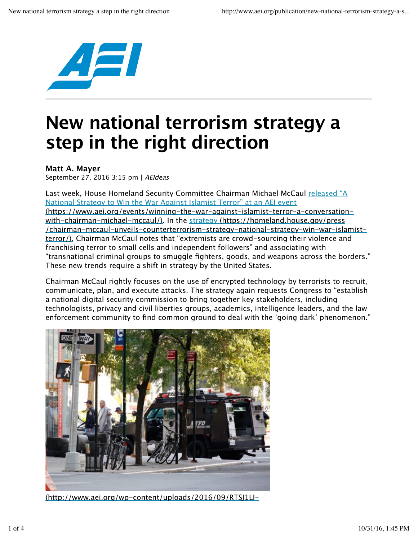

## **New national terrorism strategy a step in the right direction**

## **Matt A. Mayer**

September 27, 2016 3:15 pm | AEIdeas

Last week, House Homeland Security Committee Chairman Michael McCaul released "A National Strategy to Win the War Against Islamist Terror" at an AEI event (https://www.aei.org/events/winning-the-war-against-islamist-terror-a-conversationwith-chairman-michael-mccaul/). In the strategy (https://homeland.house.gov/press /chairman-mccaul-unveils-counterterrorism-strategy-national-strategy-win-war-islamistterror/), Chairman McCaul notes that "extremists are crowd-sourcing their violence and franchising terror to small cells and independent followers" and associating with "transnational criminal groups to smuggle fighters, goods, and weapons across the borders." These new trends require a shift in strategy by the United States.

Chairman McCaul rightly focuses on the use of encrypted technology by terrorists to recruit, communicate, plan, and execute attacks. The strategy again requests Congress to "establish a national digital security commission to bring together key stakeholders, including technologists, privacy and civil liberties groups, academics, intelligence leaders, and the law enforcement community to find common ground to deal with the 'going dark' phenomenon."



(http://www.aei.org/wp-content/uploads/2016/09/RTSJ1LI-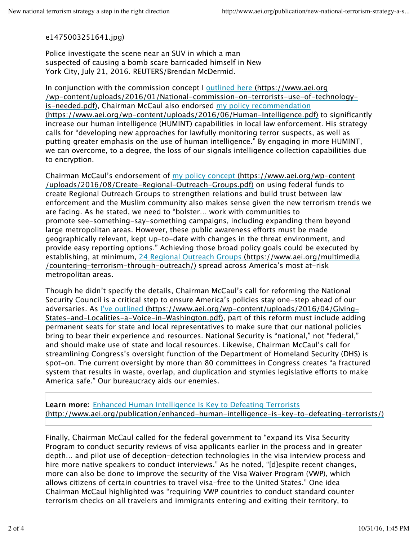## e1475003251641.jpg)

Police investigate the scene near an SUV in which a man suspected of causing a bomb scare barricaded himself in New York City, July 21, 2016. REUTERS/Brendan McDermid.

In conjunction with the commission concept I outlined here (https://www.aei.org /wp-content/uploads/2016/01/National-commission-on-terrorists-use-of-technologyis-needed.pdf), Chairman McCaul also endorsed my policy recommendation (https://www.aei.org/wp-content/uploads/2016/06/Human-Intelligence.pdf) to significantly increase our human intelligence (HUMINT) capabilities in local law enforcement. His strategy calls for "developing new approaches for lawfully monitoring terror suspects, as well as putting greater emphasis on the use of human intelligence." By engaging in more HUMINT, we can overcome, to a degree, the loss of our signals intelligence collection capabilities due to encryption.

Chairman McCaul's endorsement of my policy concept (https://www.aei.org/wp-content /uploads/2016/08/Create-Regional-Outreach-Groups.pdf) on using federal funds to create Regional Outreach Groups to strengthen relations and build trust between law enforcement and the Muslim community also makes sense given the new terrorism trends we are facing. As he stated, we need to "bolster… work with communities to promote see-something-say-something campaigns, including expanding them beyond large metropolitan areas. However, these public awareness eforts must be made geographically relevant, kept up-to-date with changes in the threat environment, and provide easy reporting options." Achieving those broad policy goals could be executed by establishing, at minimum, 24 Regional Outreach Groups (https://www.aei.org/multimedia /countering-terrorism-through-outreach/) spread across America's most at-risk metropolitan areas.

Though he didn't specify the details, Chairman McCaul's call for reforming the National Security Council is a critical step to ensure America's policies stay one-step ahead of our adversaries. As I've outlined (https://www.aei.org/wp-content/uploads/2016/04/Giving-States-and-Localities-a-Voice-in-Washington.pdf), part of this reform must include adding permanent seats for state and local representatives to make sure that our national policies bring to bear their experience and resources. National Security is "national," not "federal," and should make use of state and local resources. Likewise, Chairman McCaul's call for streamlining Congress's oversight function of the Department of Homeland Security (DHS) is spot-on. The current oversight by more than 80 committees in Congress creates "a fractured system that results in waste, overlap, and duplication and stymies legislative eforts to make America safe." Our bureaucracy aids our enemies.

**Learn more:** Enhanced Human Intelligence Is Key to Defeating Terrorists (http://www.aei.org/publication/enhanced-human-intelligence-is-key-to-defeating-terrorists/)

Finally, Chairman McCaul called for the federal government to "expand its Visa Security Program to conduct security reviews of visa applicants earlier in the process and in greater depth… and pilot use of deception-detection technologies in the visa interview process and hire more native speakers to conduct interviews." As he noted, "[d]espite recent changes, more can also be done to improve the security of the Visa Waiver Program (VWP), which allows citizens of certain countries to travel visa-free to the United States." One idea Chairman McCaul highlighted was "requiring VWP countries to conduct standard counter terrorism checks on all travelers and immigrants entering and exiting their territory, to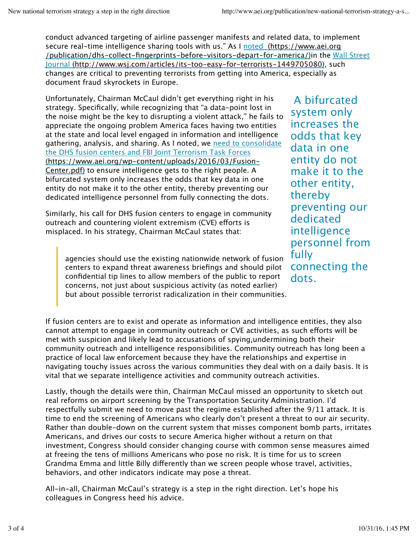conduct advanced targeting of airline passenger manifests and related data, to implement secure real-time intelligence sharing tools with us." As I noted (https://www.aei.org /publication/dhs-collect-fingerprints-before-visitors-depart-for-america/)in the Wall Street Journal (http://www.wsj.com/articles/its-too-easy-for-terrorists-1449705080), such changes are critical to preventing terrorists from getting into America, especially as document fraud skyrockets in Europe.

Unfortunately, Chairman McCaul didn't get everything right in his strategy. Specifically, while recognizing that "a data-point lost in the noise might be the key to disrupting a violent attack," he fails to appreciate the ongoing problem America faces having two entities at the state and local level engaged in information and intelligence gathering, analysis, and sharing. As I noted, we need to consolidate the DHS fusion centers and FBI Joint Terrorism Task Forces (https://www.aei.org/wp-content/uploads/2016/03/Fusion-Center.pdf) to ensure intelligence gets to the right people. A bifurcated system only increases the odds that key data in one entity do not make it to the other entity, thereby preventing our dedicated intelligence personnel from fully connecting the dots.

Similarly, his call for DHS fusion centers to engage in community outreach and countering violent extremism (CVE) efforts is misplaced. In his strategy, Chairman McCaul states that:

agencies should use the existing nationwide network of fusion centers to expand threat awareness briefings and should pilot confidential tip lines to allow members of the public to report concerns, not just about suspicious activity (as noted earlier) but about possible terrorist radicalization in their communities.

A bifurcated system only increases the odds that key data in one entity do not make it to the other entity, thereby preventing our dedicated intelligence personnel from fully connecting the dots.

If fusion centers are to exist and operate as information and intelligence entities, they also cannot attempt to engage in community outreach or CVE activities, as such eforts will be met with suspicion and likely lead to accusations of spying,undermining both their community outreach and intelligence responsibilities. Community outreach has long been a practice of local law enforcement because they have the relationships and expertise in navigating touchy issues across the various communities they deal with on a daily basis. It is vital that we separate intelligence activities and community outreach activities.

Lastly, though the details were thin, Chairman McCaul missed an opportunity to sketch out real reforms on airport screening by the Transportation Security Administration. I'd respectfully submit we need to move past the regime established after the 9/11 attack. It is time to end the screening of Americans who clearly don't present a threat to our air security. Rather than double-down on the current system that misses component bomb parts, irritates Americans, and drives our costs to secure America higher without a return on that investment, Congress should consider changing course with common sense measures aimed at freeing the tens of millions Americans who pose no risk. It is time for us to screen Grandma Emma and little Billy diferently than we screen people whose travel, activities, behaviors, and other indicators indicate may pose a threat.

All-in-all, Chairman McCaul's strategy is a step in the right direction. Let's hope his colleagues in Congress heed his advice.